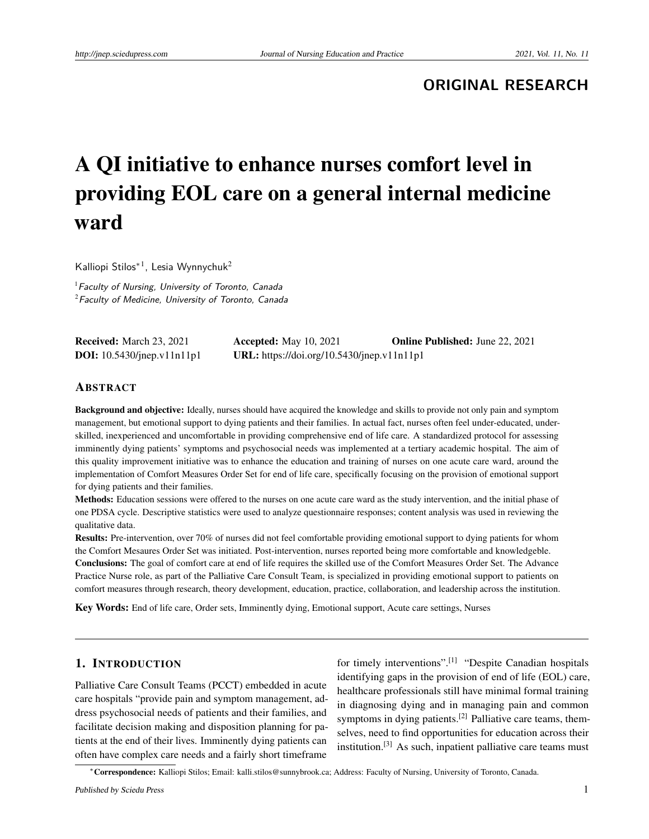**ORIGINAL RESEARCH**

# A QI initiative to enhance nurses comfort level in providing EOL care on a general internal medicine ward

Kalliopi Stilos<sup>\*1</sup>, Lesia Wynnychuk<sup>2</sup>

 $<sup>1</sup>$  Faculty of Nursing, University of Toronto, Canada</sup>  $2$ Faculty of Medicine, University of Toronto, Canada

| <b>Received:</b> March 23, 2021   | <b>Accepted:</b> May 10, 2021              | <b>Online Published:</b> June 22, 2021 |
|-----------------------------------|--------------------------------------------|----------------------------------------|
| <b>DOI:</b> 10.5430/jnep.v11n11p1 | URL: https://doi.org/10.5430/jnep.v11n11p1 |                                        |

#### ABSTRACT

Background and objective: Ideally, nurses should have acquired the knowledge and skills to provide not only pain and symptom management, but emotional support to dying patients and their families. In actual fact, nurses often feel under-educated, underskilled, inexperienced and uncomfortable in providing comprehensive end of life care. A standardized protocol for assessing imminently dying patients' symptoms and psychosocial needs was implemented at a tertiary academic hospital. The aim of this quality improvement initiative was to enhance the education and training of nurses on one acute care ward, around the implementation of Comfort Measures Order Set for end of life care, specifically focusing on the provision of emotional support for dying patients and their families.

Methods: Education sessions were offered to the nurses on one acute care ward as the study intervention, and the initial phase of one PDSA cycle. Descriptive statistics were used to analyze questionnaire responses; content analysis was used in reviewing the qualitative data.

Results: Pre-intervention, over 70% of nurses did not feel comfortable providing emotional support to dying patients for whom the Comfort Mesaures Order Set was initiated. Post-intervention, nurses reported being more comfortable and knowledgeble. Conclusions: The goal of comfort care at end of life requires the skilled use of the Comfort Measures Order Set. The Advance Practice Nurse role, as part of the Palliative Care Consult Team, is specialized in providing emotional support to patients on comfort measures through research, theory development, education, practice, collaboration, and leadership across the institution.

Key Words: End of life care, Order sets, Imminently dying, Emotional support, Acute care settings, Nurses

## 1. INTRODUCTION

Palliative Care Consult Teams (PCCT) embedded in acute care hospitals "provide pain and symptom management, address psychosocial needs of patients and their families, and facilitate decision making and disposition planning for patients at the end of their lives. Imminently dying patients can often have complex care needs and a fairly short timeframe

for timely interventions".<sup>[\[1\]](#page-4-0)</sup> "Despite Canadian hospitals identifying gaps in the provision of end of life (EOL) care, healthcare professionals still have minimal formal training in diagnosing dying and in managing pain and common symptoms in dying patients.<sup>[\[2\]](#page-4-1)</sup> Palliative care teams, themselves, need to find opportunities for education across their institution.<sup>[\[3\]](#page-4-2)</sup> As such, inpatient palliative care teams must

<sup>∗</sup>Correspondence: Kalliopi Stilos; Email: kalli.stilos@sunnybrook.ca; Address: Faculty of Nursing, University of Toronto, Canada.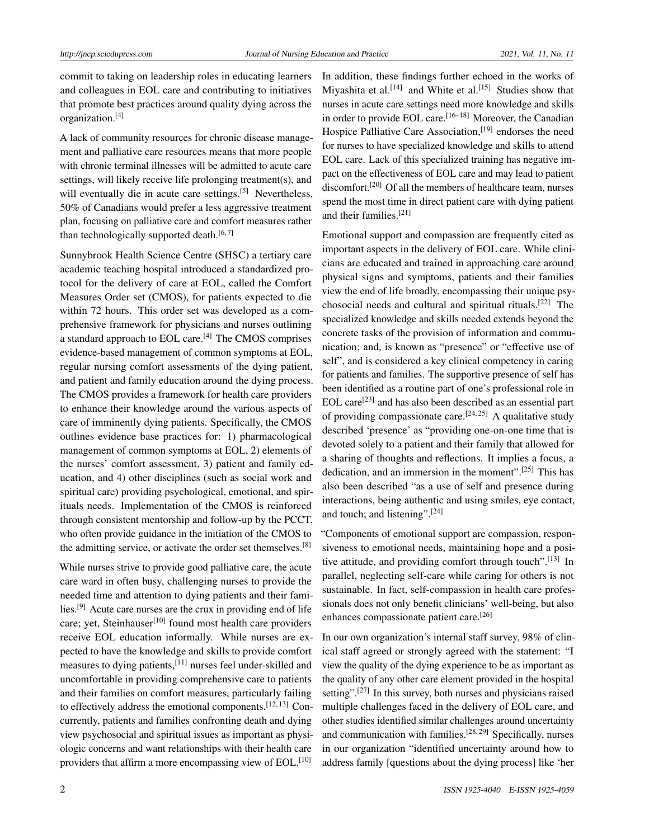commit to taking on leadership roles in educating learners and colleagues in EOL care and contributing to initiatives that promote best practices around quality dying across the organization.[\[4\]](#page-4-3)

A lack of community resources for chronic disease management and palliative care resources means that more people with chronic terminal illnesses will be admitted to acute care settings, will likely receive life prolonging treatment(s), and will eventually die in acute care settings.<sup>[\[5\]](#page-4-4)</sup> Nevertheless, 50% of Canadians would prefer a less aggressive treatment plan, focusing on palliative care and comfort measures rather than technologically supported death. $[6, 7]$  $[6, 7]$  $[6, 7]$ 

Sunnybrook Health Science Centre (SHSC) a tertiary care academic teaching hospital introduced a standardized protocol for the delivery of care at EOL, called the Comfort Measures Order set (CMOS), for patients expected to die within 72 hours. This order set was developed as a comprehensive framework for physicians and nurses outlining a standard approach to EOL care.[\[4\]](#page-4-3) The CMOS comprises evidence-based management of common symptoms at EOL, regular nursing comfort assessments of the dying patient, and patient and family education around the dying process. The CMOS provides a framework for health care providers to enhance their knowledge around the various aspects of care of imminently dying patients. Specifically, the CMOS outlines evidence base practices for: 1) pharmacological management of common symptoms at EOL, 2) elements of the nurses' comfort assessment, 3) patient and family education, and 4) other disciplines (such as social work and spiritual care) providing psychological, emotional, and spirituals needs. Implementation of the CMOS is reinforced through consistent mentorship and follow-up by the PCCT, who often provide guidance in the initiation of the CMOS to the admitting service, or activate the order set themselves.<sup>[\[8\]](#page-4-7)</sup>

While nurses strive to provide good palliative care, the acute care ward in often busy, challenging nurses to provide the needed time and attention to dying patients and their families.[\[9\]](#page-4-8) Acute care nurses are the crux in providing end of life care; yet, Steinhauser<sup>[\[10\]](#page-4-9)</sup> found most health care providers receive EOL education informally. While nurses are expected to have the knowledge and skills to provide comfort measures to dying patients,[\[11\]](#page-4-10) nurses feel under-skilled and uncomfortable in providing comprehensive care to patients and their families on comfort measures, particularly failing to effectively address the emotional components.<sup>[\[12,](#page-4-11) [13\]](#page-4-12)</sup> Concurrently, patients and families confronting death and dying view psychosocial and spiritual issues as important as physiologic concerns and want relationships with their health care providers that affirm a more encompassing view of EOL.<sup>[\[10\]](#page-4-9)</sup>

In addition, these findings further echoed in the works of Miyashita et al.<sup>[\[14\]](#page-4-13)</sup> and White et al.<sup>[\[15\]](#page-4-14)</sup> Studies show that nurses in acute care settings need more knowledge and skills in order to provide EOL care.<sup>[\[16–](#page-4-15)[18\]](#page-4-16)</sup> Moreover, the Canadian Hospice Palliative Care Association, [\[19\]](#page-4-17) endorses the need for nurses to have specialized knowledge and skills to attend EOL care. Lack of this specialized training has negative impact on the effectiveness of EOL care and may lead to patient discomfort.<sup>[\[20\]](#page-4-18)</sup> Of all the members of healthcare team, nurses spend the most time in direct patient care with dying patient and their families.[\[21\]](#page-4-19)

Emotional support and compassion are frequently cited as important aspects in the delivery of EOL care. While clinicians are educated and trained in approaching care around physical signs and symptoms, patients and their families view the end of life broadly, encompassing their unique psychosocial needs and cultural and spiritual rituals.[\[22\]](#page-4-20) The specialized knowledge and skills needed extends beyond the concrete tasks of the provision of information and communication; and, is known as "presence" or "effective use of self", and is considered a key clinical competency in caring for patients and families. The supportive presence of self has been identified as a routine part of one's professional role in EOL care<sup>[\[23\]](#page-5-0)</sup> and has also been described as an essential part of providing compassionate care.<sup>[\[24,](#page-5-1) [25\]](#page-5-2)</sup> A qualitative study described 'presence' as "providing one-on-one time that is devoted solely to a patient and their family that allowed for a sharing of thoughts and reflections. It implies a focus, a dedication, and an immersion in the moment".[\[25\]](#page-5-2) This has also been described "as a use of self and presence during interactions, being authentic and using smiles, eye contact, and touch; and listening".[\[24\]](#page-5-1)

"Components of emotional support are compassion, responsiveness to emotional needs, maintaining hope and a posi-tive attitude, and providing comfort through touch".<sup>[\[13\]](#page-4-12)</sup> In parallel, neglecting self-care while caring for others is not sustainable. In fact, self-compassion in health care professionals does not only benefit clinicians' well-being, but also enhances compassionate patient care.[\[26\]](#page-5-3)

In our own organization's internal staff survey, 98% of clinical staff agreed or strongly agreed with the statement: "I view the quality of the dying experience to be as important as the quality of any other care element provided in the hospital setting".<sup>[\[27\]](#page-5-4)</sup> In this survey, both nurses and physicians raised multiple challenges faced in the delivery of EOL care, and other studies identified similar challenges around uncertainty and communication with families.[\[28,](#page-5-5) [29\]](#page-5-6) Specifically, nurses in our organization "identified uncertainty around how to address family [questions about the dying process] like 'her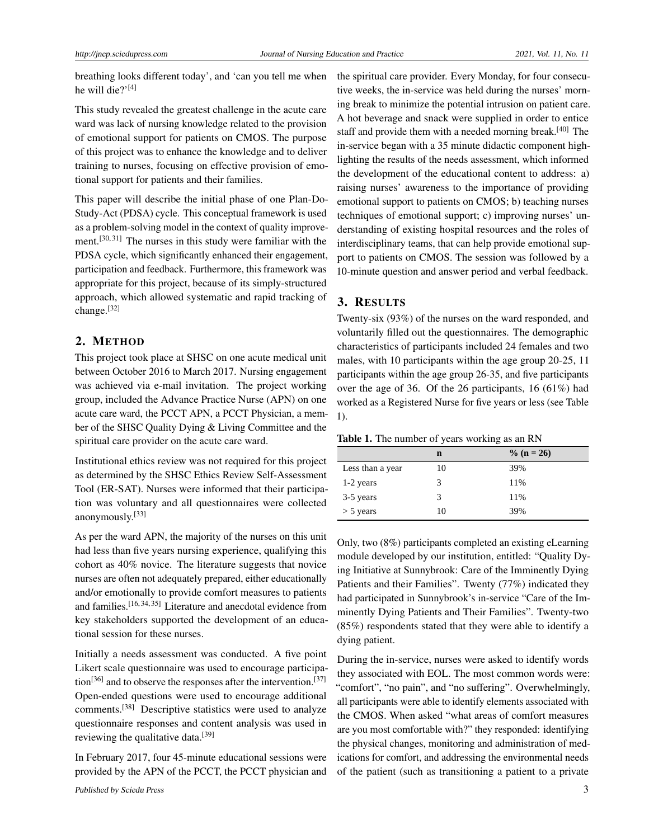breathing looks different today', and 'can you tell me when he will die?' $[4]$ 

This study revealed the greatest challenge in the acute care ward was lack of nursing knowledge related to the provision of emotional support for patients on CMOS. The purpose of this project was to enhance the knowledge and to deliver training to nurses, focusing on effective provision of emotional support for patients and their families.

This paper will describe the initial phase of one Plan-Do-Study-Act (PDSA) cycle. This conceptual framework is used as a problem-solving model in the context of quality improve-ment.<sup>[\[30,](#page-5-7) [31\]](#page-5-8)</sup> The nurses in this study were familiar with the PDSA cycle, which significantly enhanced their engagement, participation and feedback. Furthermore, this framework was appropriate for this project, because of its simply-structured approach, which allowed systematic and rapid tracking of change.[\[32\]](#page-5-9)

#### 2. METHOD

This project took place at SHSC on one acute medical unit between October 2016 to March 2017. Nursing engagement was achieved via e-mail invitation. The project working group, included the Advance Practice Nurse (APN) on one acute care ward, the PCCT APN, a PCCT Physician, a member of the SHSC Quality Dying & Living Committee and the spiritual care provider on the acute care ward.

Institutional ethics review was not required for this project as determined by the SHSC Ethics Review Self-Assessment Tool (ER-SAT). Nurses were informed that their participation was voluntary and all questionnaires were collected anonymously.[\[33\]](#page-5-10)

As per the ward APN, the majority of the nurses on this unit had less than five years nursing experience, qualifying this cohort as 40% novice. The literature suggests that novice nurses are often not adequately prepared, either educationally and/or emotionally to provide comfort measures to patients and families.[\[16,](#page-4-15) [34,](#page-5-11) [35\]](#page-5-12) Literature and anecdotal evidence from key stakeholders supported the development of an educational session for these nurses.

Initially a needs assessment was conducted. A five point Likert scale questionnaire was used to encourage participa-tion<sup>[\[36\]](#page-5-13)</sup> and to observe the responses after the intervention.<sup>[\[37\]](#page-5-14)</sup> Open-ended questions were used to encourage additional comments.[\[38\]](#page-5-15) Descriptive statistics were used to analyze questionnaire responses and content analysis was used in reviewing the qualitative data.<sup>[\[39\]](#page-5-16)</sup>

In February 2017, four 45-minute educational sessions were provided by the APN of the PCCT, the PCCT physician and the spiritual care provider. Every Monday, for four consecutive weeks, the in-service was held during the nurses' morning break to minimize the potential intrusion on patient care. A hot beverage and snack were supplied in order to entice staff and provide them with a needed morning break.<sup>[\[40\]](#page-5-17)</sup> The in-service began with a 35 minute didactic component highlighting the results of the needs assessment, which informed the development of the educational content to address: a) raising nurses' awareness to the importance of providing emotional support to patients on CMOS; b) teaching nurses techniques of emotional support; c) improving nurses' understanding of existing hospital resources and the roles of interdisciplinary teams, that can help provide emotional support to patients on CMOS. The session was followed by a 10-minute question and answer period and verbal feedback.

#### 3. RESULTS

Twenty-six (93%) of the nurses on the ward responded, and voluntarily filled out the questionnaires. The demographic characteristics of participants included 24 females and two males, with 10 participants within the age group 20-25, 11 participants within the age group 26-35, and five participants over the age of 36. Of the 26 participants, 16 (61%) had worked as a Registered Nurse for five years or less (see Table 1).

|  | <b>Table 1.</b> The number of years working as an RN |  |  |  |
|--|------------------------------------------------------|--|--|--|
|--|------------------------------------------------------|--|--|--|

|                  | n  | $\%$ (n = 26) |
|------------------|----|---------------|
| Less than a year | 10 | 39%           |
| 1-2 years        | 3  | 11%           |
| 3-5 years        | 3  | 11%           |
| $>$ 5 years      | 10 | 39%           |

Only, two (8%) participants completed an existing eLearning module developed by our institution, entitled: "Quality Dying Initiative at Sunnybrook: Care of the Imminently Dying Patients and their Families". Twenty (77%) indicated they had participated in Sunnybrook's in-service "Care of the Imminently Dying Patients and Their Families". Twenty-two (85%) respondents stated that they were able to identify a dying patient.

During the in-service, nurses were asked to identify words they associated with EOL. The most common words were: "comfort", "no pain", and "no suffering". Overwhelmingly, all participants were able to identify elements associated with the CMOS. When asked "what areas of comfort measures are you most comfortable with?" they responded: identifying the physical changes, monitoring and administration of medications for comfort, and addressing the environmental needs of the patient (such as transitioning a patient to a private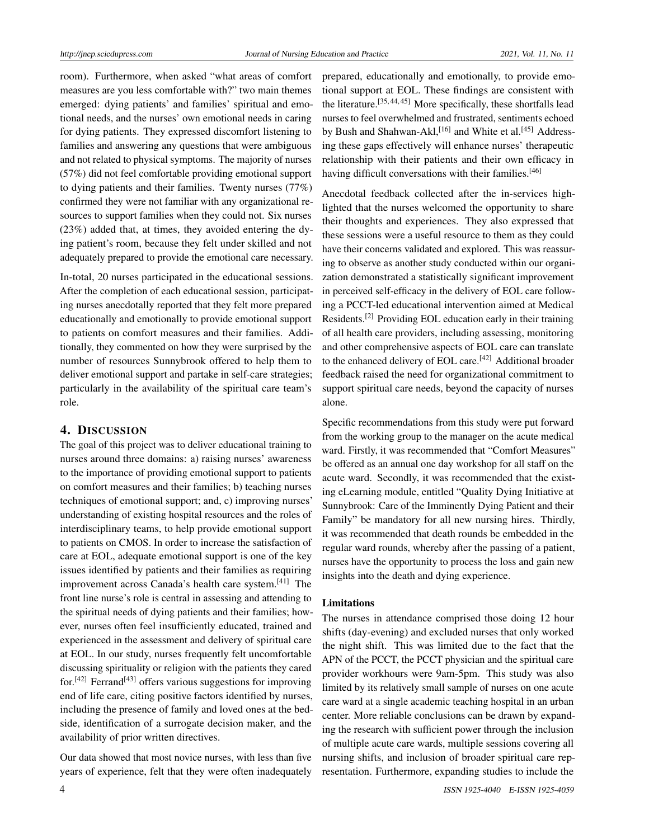room). Furthermore, when asked "what areas of comfort measures are you less comfortable with?" two main themes emerged: dying patients' and families' spiritual and emotional needs, and the nurses' own emotional needs in caring for dying patients. They expressed discomfort listening to families and answering any questions that were ambiguous and not related to physical symptoms. The majority of nurses (57%) did not feel comfortable providing emotional support to dying patients and their families. Twenty nurses (77%) confirmed they were not familiar with any organizational resources to support families when they could not. Six nurses (23%) added that, at times, they avoided entering the dying patient's room, because they felt under skilled and not adequately prepared to provide the emotional care necessary.

In-total, 20 nurses participated in the educational sessions. After the completion of each educational session, participating nurses anecdotally reported that they felt more prepared educationally and emotionally to provide emotional support to patients on comfort measures and their families. Additionally, they commented on how they were surprised by the number of resources Sunnybrook offered to help them to deliver emotional support and partake in self-care strategies; particularly in the availability of the spiritual care team's role.

## 4. DISCUSSION

The goal of this project was to deliver educational training to nurses around three domains: a) raising nurses' awareness to the importance of providing emotional support to patients on comfort measures and their families; b) teaching nurses techniques of emotional support; and, c) improving nurses' understanding of existing hospital resources and the roles of interdisciplinary teams, to help provide emotional support to patients on CMOS. In order to increase the satisfaction of care at EOL, adequate emotional support is one of the key issues identified by patients and their families as requiring improvement across Canada's health care system.[\[41\]](#page-5-18) The front line nurse's role is central in assessing and attending to the spiritual needs of dying patients and their families; however, nurses often feel insufficiently educated, trained and experienced in the assessment and delivery of spiritual care at EOL. In our study, nurses frequently felt uncomfortable discussing spirituality or religion with the patients they cared for.[\[42\]](#page-5-19) Ferrand[\[43\]](#page-5-20) offers various suggestions for improving end of life care, citing positive factors identified by nurses, including the presence of family and loved ones at the bedside, identification of a surrogate decision maker, and the availability of prior written directives.

Our data showed that most novice nurses, with less than five years of experience, felt that they were often inadequately prepared, educationally and emotionally, to provide emotional support at EOL. These findings are consistent with the literature.<sup>[\[35,](#page-5-12) [44,](#page-5-21) [45\]](#page-5-22)</sup> More specifically, these shortfalls lead nurses to feel overwhelmed and frustrated, sentiments echoed by Bush and Shahwan-Akl,<sup>[\[16\]](#page-4-15)</sup> and White et al.<sup>[\[45\]](#page-5-22)</sup> Addressing these gaps effectively will enhance nurses' therapeutic relationship with their patients and their own efficacy in having difficult conversations with their families.<sup>[\[46\]](#page-5-23)</sup>

Anecdotal feedback collected after the in-services highlighted that the nurses welcomed the opportunity to share their thoughts and experiences. They also expressed that these sessions were a useful resource to them as they could have their concerns validated and explored. This was reassuring to observe as another study conducted within our organization demonstrated a statistically significant improvement in perceived self-efficacy in the delivery of EOL care following a PCCT-led educational intervention aimed at Medical Residents.[\[2\]](#page-4-1) Providing EOL education early in their training of all health care providers, including assessing, monitoring and other comprehensive aspects of EOL care can translate to the enhanced delivery of EOL care.<sup>[\[42\]](#page-5-19)</sup> Additional broader feedback raised the need for organizational commitment to support spiritual care needs, beyond the capacity of nurses alone.

Specific recommendations from this study were put forward from the working group to the manager on the acute medical ward. Firstly, it was recommended that "Comfort Measures" be offered as an annual one day workshop for all staff on the acute ward. Secondly, it was recommended that the existing eLearning module, entitled "Quality Dying Initiative at Sunnybrook: Care of the Imminently Dying Patient and their Family" be mandatory for all new nursing hires. Thirdly, it was recommended that death rounds be embedded in the regular ward rounds, whereby after the passing of a patient, nurses have the opportunity to process the loss and gain new insights into the death and dying experience.

#### Limitations

The nurses in attendance comprised those doing 12 hour shifts (day-evening) and excluded nurses that only worked the night shift. This was limited due to the fact that the APN of the PCCT, the PCCT physician and the spiritual care provider workhours were 9am-5pm. This study was also limited by its relatively small sample of nurses on one acute care ward at a single academic teaching hospital in an urban center. More reliable conclusions can be drawn by expanding the research with sufficient power through the inclusion of multiple acute care wards, multiple sessions covering all nursing shifts, and inclusion of broader spiritual care representation. Furthermore, expanding studies to include the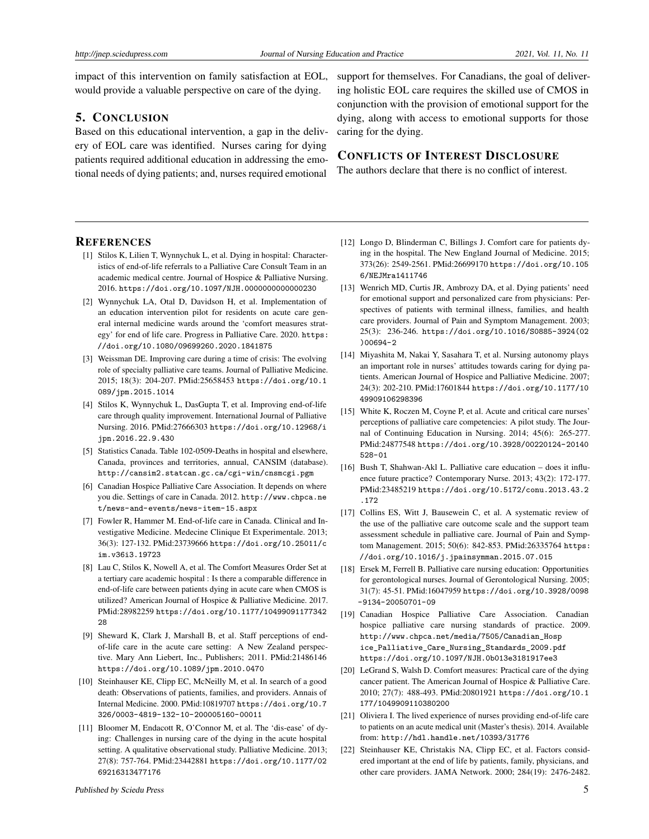impact of this intervention on family satisfaction at EOL, would provide a valuable perspective on care of the dying.

## 5. CONCLUSION

Based on this educational intervention, a gap in the delivery of EOL care was identified. Nurses caring for dying patients required additional education in addressing the emotional needs of dying patients; and, nurses required emotional

support for themselves. For Canadians, the goal of delivering holistic EOL care requires the skilled use of CMOS in conjunction with the provision of emotional support for the dying, along with access to emotional supports for those caring for the dying.

## CONFLICTS OF INTEREST DISCLOSURE

The authors declare that there is no conflict of interest.

#### **REFERENCES**

- <span id="page-4-0"></span>[1] Stilos K, Lilien T, Wynnychuk L, et al. Dying in hospital: Characteristics of end-of-life referrals to a Palliative Care Consult Team in an academic medical centre. Journal of Hospice & Palliative Nursing. 2016. [https://doi.org/10.1097/NJH.0000000000000230](https://doi.org/10.1097/NJH.0000000000000230 )
- <span id="page-4-1"></span>[2] Wynnychuk LA, Otal D, Davidson H, et al. Implementation of an education intervention pilot for residents on acute care general internal medicine wards around the 'comfort measures strategy' for end of life care. Progress in Palliative Care. 2020. [https:](https://doi.org/10.1080/09699260.2020.1841875) [//doi.org/10.1080/09699260.2020.1841875](https://doi.org/10.1080/09699260.2020.1841875)
- <span id="page-4-2"></span>[3] Weissman DE. Improving care during a time of crisis: The evolving role of specialty palliative care teams. Journal of Palliative Medicine. 2015; 18(3): 204-207. PMid:25658453 [https://doi.org/10.1](https://doi.org/10.1089/jpm.2015.1014) [089/jpm.2015.1014](https://doi.org/10.1089/jpm.2015.1014)
- <span id="page-4-3"></span>[4] Stilos K, Wynnychuk L, DasGupta T, et al. Improving end-of-life care through quality improvement. International Journal of Palliative Nursing. 2016. PMid:27666303 [https://doi.org/10.12968/i](https://doi.org/10.12968/ijpn.2016.22.9.430) [jpn.2016.22.9.430](https://doi.org/10.12968/ijpn.2016.22.9.430)
- <span id="page-4-4"></span>[5] Statistics Canada. Table 102-0509-Deaths in hospital and elsewhere, Canada, provinces and territories, annual, CANSIM (database). <http://cansim2.statcan.gc.ca/cgi-win/cnsmcgi.pgm>
- <span id="page-4-5"></span>[6] Canadian Hospice Palliative Care Association. It depends on where you die. Settings of care in Canada. 2012. [http://www.chpca.ne](http://www.chpca.net/news-and-events/news-item-15.aspx) [t/news-and-events/news-item-15.aspx](http://www.chpca.net/news-and-events/news-item-15.aspx)
- <span id="page-4-6"></span>[7] Fowler R, Hammer M. End-of-life care in Canada. Clinical and Investigative Medicine. Medecine Clinique Et Experimentale. 2013; 36(3): 127-132. PMid:23739666 [https://doi.org/10.25011/c](https://doi.org/10.25011/cim.v36i3.19723) [im.v36i3.19723](https://doi.org/10.25011/cim.v36i3.19723)
- <span id="page-4-7"></span>[8] Lau C, Stilos K, Nowell A, et al. The Comfort Measures Order Set at a tertiary care academic hospital : Is there a comparable difference in end-of-life care between patients dying in acute care when CMOS is utilized? American Journal of Hospice & Palliative Medicine. 2017. PMid:28982259 [https://doi.org/10.1177/10499091177342](https://doi.org/10.1177/1049909117734228) [28](https://doi.org/10.1177/1049909117734228)
- <span id="page-4-8"></span>[9] Sheward K, Clark J, Marshall B, et al. Staff perceptions of endof-life care in the acute care setting: A New Zealand perspective. Mary Ann Liebert, Inc., Publishers; 2011. PMid:21486146 <https://doi.org/10.1089/jpm.2010.0470>
- <span id="page-4-9"></span>[10] Steinhauser KE, Clipp EC, McNeilly M, et al. In search of a good death: Observations of patients, families, and providers. Annais of Internal Medicine. 2000. PMid:10819707 [https://doi.org/10.7](https://doi.org/10.7326/0003-4819-132-10-200005160-00011) [326/0003-4819-132-10-200005160-00011](https://doi.org/10.7326/0003-4819-132-10-200005160-00011)
- <span id="page-4-10"></span>[11] Bloomer M, Endacott R, O'Connor M, et al. The 'dis-ease' of dying: Challenges in nursing care of the dying in the acute hospital setting. A qualitative observational study. Palliative Medicine. 2013; 27(8): 757-764. PMid:23442881 [https://doi.org/10.1177/02](https://doi.org/10.1177/0269216313477176) [69216313477176](https://doi.org/10.1177/0269216313477176)
- <span id="page-4-11"></span>[12] Longo D, Blinderman C, Billings J. Comfort care for patients dying in the hospital. The New England Journal of Medicine. 2015; 373(26): 2549-2561. PMid:26699170 [https://doi.org/10.105](https://doi.org/10.1056/NEJMra1411746) [6/NEJMra1411746](https://doi.org/10.1056/NEJMra1411746)
- <span id="page-4-12"></span>[13] Wenrich MD, Curtis JR, Ambrozy DA, et al. Dying patients' need for emotional support and personalized care from physicians: Perspectives of patients with terminal illness, families, and health care providers. Journal of Pain and Symptom Management. 2003; 25(3): 236-246. [https://doi.org/10.1016/S0885-3924\(02](https://doi.org/10.1016/S0885-3924(02)00694-2) [\)00694-2](https://doi.org/10.1016/S0885-3924(02)00694-2)
- <span id="page-4-13"></span>[14] Miyashita M, Nakai Y, Sasahara T, et al. Nursing autonomy plays an important role in nurses' attitudes towards caring for dying patients. American Journal of Hospice and Palliative Medicine. 2007; 24(3): 202-210. PMid:17601844 [https://doi.org/10.1177/10](https://doi.org/10.1177/1049909106298396) [49909106298396](https://doi.org/10.1177/1049909106298396)
- <span id="page-4-14"></span>[15] White K, Roczen M, Coyne P, et al. Acute and critical care nurses' perceptions of palliative care competencies: A pilot study. The Journal of Continuing Education in Nursing. 2014; 45(6): 265-277. PMid:24877548 [https://doi.org/10.3928/00220124-20140](https://doi.org/10.3928/00220124-20140528-01) [528-01](https://doi.org/10.3928/00220124-20140528-01)
- <span id="page-4-15"></span>[16] Bush T, Shahwan-Akl L. Palliative care education – does it influence future practice? Contemporary Nurse. 2013; 43(2): 172-177. PMid:23485219 [https://doi.org/10.5172/conu.2013.43.2](https://doi.org/10.5172/conu.2013.43.2.172) [.172](https://doi.org/10.5172/conu.2013.43.2.172)
- [17] Collins ES, Witt J, Bausewein C, et al. A systematic review of the use of the palliative care outcome scale and the support team assessment schedule in palliative care. Journal of Pain and Symptom Management. 2015; 50(6): 842-853. PMid:26335764 [https:](https://doi.org/10.1016/j.jpainsymman.2015.07.015) [//doi.org/10.1016/j.jpainsymman.2015.07.015](https://doi.org/10.1016/j.jpainsymman.2015.07.015)
- <span id="page-4-16"></span>[18] Ersek M, Ferrell B. Palliative care nursing education: Opportunities for gerontological nurses. Journal of Gerontological Nursing. 2005; 31(7): 45-51. PMid:16047959 [https://doi.org/10.3928/0098](https://doi.org/10.3928/0098-9134-20050701-09) [-9134-20050701-09](https://doi.org/10.3928/0098-9134-20050701-09)
- <span id="page-4-17"></span>[19] Canadian Hospice Palliative Care Association. Canadian hospice palliative care nursing standards of practice. 2009. [http://www.chpca.net/media/7505/Canadian\\_Hosp](http://www.chpca.net/media/7505/Canadian_Hospice_Palliative_Care_Nursing_Standards_2009.pdf) [ice\\_Palliative\\_Care\\_Nursing\\_Standards\\_2009.pdf](http://www.chpca.net/media/7505/Canadian_Hospice_Palliative_Care_Nursing_Standards_2009.pdf) <https://doi.org/10.1097/NJH.0b013e3181917ee3>
- <span id="page-4-18"></span>[20] LeGrand S, Walsh D. Comfort measures: Practical care of the dying cancer patient. The American Journal of Hospice & Palliative Care. 2010; 27(7): 488-493. PMid:20801921 [https://doi.org/10.1](https://doi.org/10.1177/1049909110380200) [177/1049909110380200](https://doi.org/10.1177/1049909110380200)
- <span id="page-4-19"></span>[21] Oliviera I. The lived experience of nurses providing end-of-life care to patients on an acute medical unit (Master's thesis). 2014. Available from: <http://hdl.handle.net/10393/31776>
- <span id="page-4-20"></span>[22] Steinhauser KE, Christakis NA, Clipp EC, et al. Factors considered important at the end of life by patients, family, physicians, and other care providers. JAMA Network. 2000; 284(19): 2476-2482.